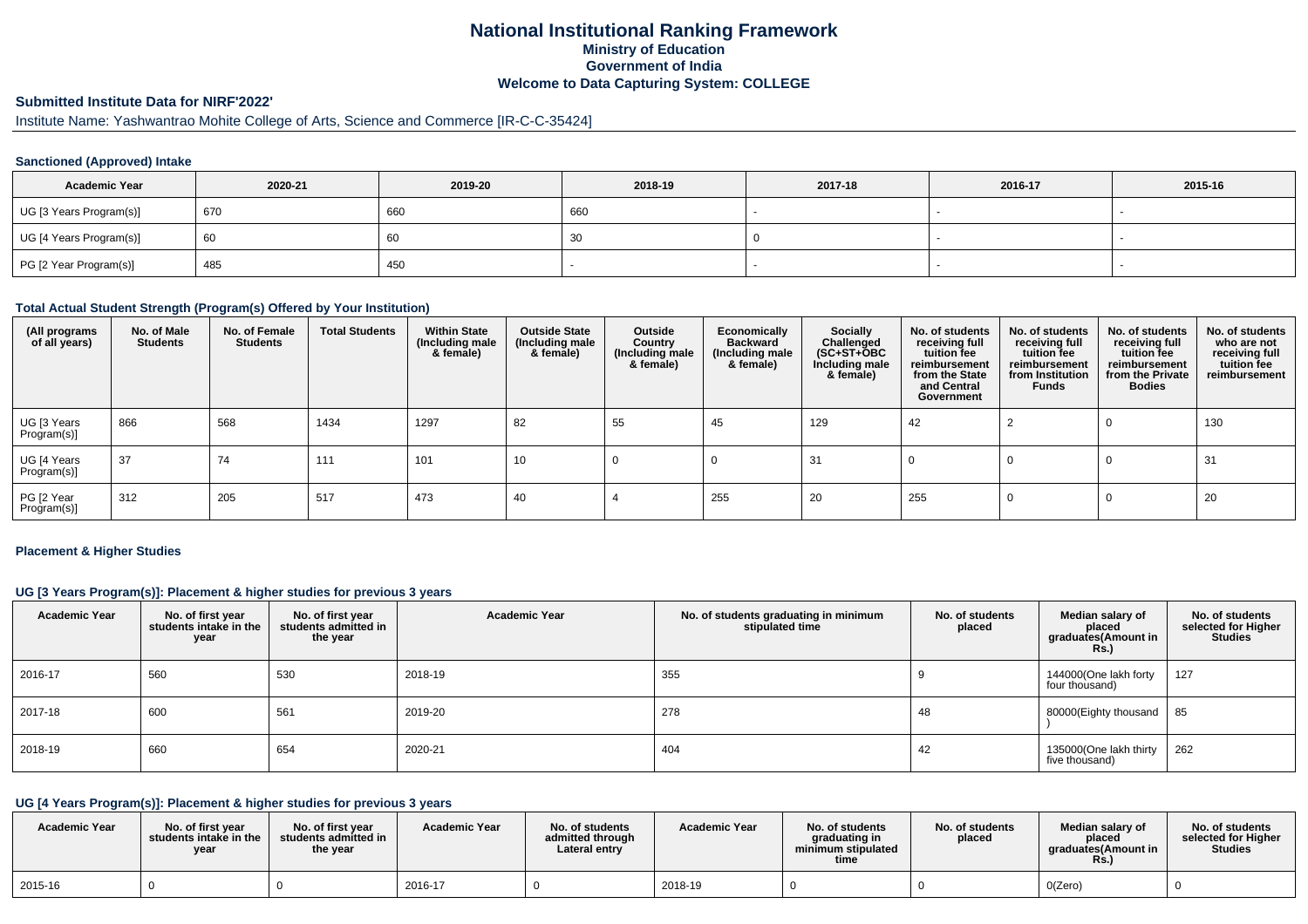# **National Institutional Ranking FrameworkMinistry of Education Government of IndiaWelcome to Data Capturing System: COLLEGE**

# **Submitted Institute Data for NIRF'2022'**

# Institute Name: Yashwantrao Mohite College of Arts, Science and Commerce [IR-C-C-35424]

### **Sanctioned (Approved) Intake**

| <b>Academic Year</b>    | 2020-21 | 2019-20 | 2018-19 | 2017-18 | 2016-17 | 2015-16 |
|-------------------------|---------|---------|---------|---------|---------|---------|
| UG [3 Years Program(s)] | 670     | 660     | 660     |         |         |         |
| UG [4 Years Program(s)] | 60      | υU      | -30     |         |         |         |
| PG [2 Year Program(s)]  | 485     | 450     |         |         |         |         |

#### **Total Actual Student Strength (Program(s) Offered by Your Institution)**

| (All programs<br>of all years) | No. of Male<br><b>Students</b> | No. of Female<br><b>Students</b> | <b>Total Students</b> | <b>Within State</b><br>(Including male<br>& female) | <b>Outside State</b><br>(Including male<br>& female) | Outside<br>Country<br>(Including male<br>& female) | Economically<br><b>Backward</b><br>(Including male<br>& female) | <b>Socially</b><br>Challenged<br>$(SC+ST+OBC)$<br>Including male<br>& female) | No. of students<br>receiving full<br>tuition fee<br>reimbursement<br>from the State<br>and Central<br>Government | No. of students<br>receiving full<br>tuition fee<br>reimbursement<br>from Institution<br><b>Funds</b> | No. of students<br>receiving full<br>tuition fee<br>reimbursement<br>from the Private<br><b>Bodies</b> | No. of students<br>who are not<br>receiving full<br>tuition fee<br>reimbursement |
|--------------------------------|--------------------------------|----------------------------------|-----------------------|-----------------------------------------------------|------------------------------------------------------|----------------------------------------------------|-----------------------------------------------------------------|-------------------------------------------------------------------------------|------------------------------------------------------------------------------------------------------------------|-------------------------------------------------------------------------------------------------------|--------------------------------------------------------------------------------------------------------|----------------------------------------------------------------------------------|
| UG [3 Years<br>Program(s)]     | 866                            | 568                              | 1434                  | 1297                                                | 82                                                   | 55                                                 | 45                                                              | 129                                                                           | 42                                                                                                               |                                                                                                       |                                                                                                        | 130                                                                              |
| UG [4 Years<br>Program(s)]     | 37                             | 74                               | 111                   | 101                                                 | 10                                                   |                                                    |                                                                 | 31                                                                            |                                                                                                                  |                                                                                                       | - U                                                                                                    | 31                                                                               |
| PG [2 Year<br>Program(s)]      | 312                            | 205                              | 517                   | 473                                                 | 40                                                   |                                                    | 255                                                             | 20                                                                            | 255                                                                                                              |                                                                                                       |                                                                                                        | 20                                                                               |

#### **Placement & Higher Studies**

### **UG [3 Years Program(s)]: Placement & higher studies for previous 3 years**

| <b>Academic Year</b> | No. of first year<br>students intake in the<br>year | No. of first year<br>students admitted in<br>the year | <b>Academic Year</b> | No. of students graduating in minimum<br>stipulated time | No. of students<br>placed | Median salary of<br>placed<br>graduates(Amount in<br>R <sub>S</sub> | No. of students<br>selected for Higher<br><b>Studies</b> |
|----------------------|-----------------------------------------------------|-------------------------------------------------------|----------------------|----------------------------------------------------------|---------------------------|---------------------------------------------------------------------|----------------------------------------------------------|
| 2016-17              | 560                                                 | 530                                                   | 2018-19              | 355                                                      |                           | 144000(One lakh forty<br>four thousand)                             | 127                                                      |
| 2017-18              | 600                                                 | 561                                                   | 2019-20              | 278                                                      | 48                        | 80000(Eighty thousand                                               | 85                                                       |
| 2018-19              | 660                                                 | 654                                                   | 2020-21              | 404                                                      | 42                        | 135000(One lakh thirty<br>five thousand)                            | 262                                                      |

# **UG [4 Years Program(s)]: Placement & higher studies for previous 3 years**

| <b>Academic Year</b> | No. of first vear<br>students intake in the<br>vear | No. of first year<br>students admitted in<br>the year | <b>Academic Year</b> | No. of students<br>admitted through<br>Lateral entrv | <b>Academic Year</b> | No. of students<br>araduating in<br>minimum stipulated<br>time | No. of students<br>placed | Median salarv of<br>placed<br>araduates(Amount in<br>Rs. | No. of students<br>selected for Higher<br><b>Studies</b> |
|----------------------|-----------------------------------------------------|-------------------------------------------------------|----------------------|------------------------------------------------------|----------------------|----------------------------------------------------------------|---------------------------|----------------------------------------------------------|----------------------------------------------------------|
| 2015-16              |                                                     |                                                       | 2016-17              |                                                      | 2018-19              |                                                                |                           | O(Zero)                                                  |                                                          |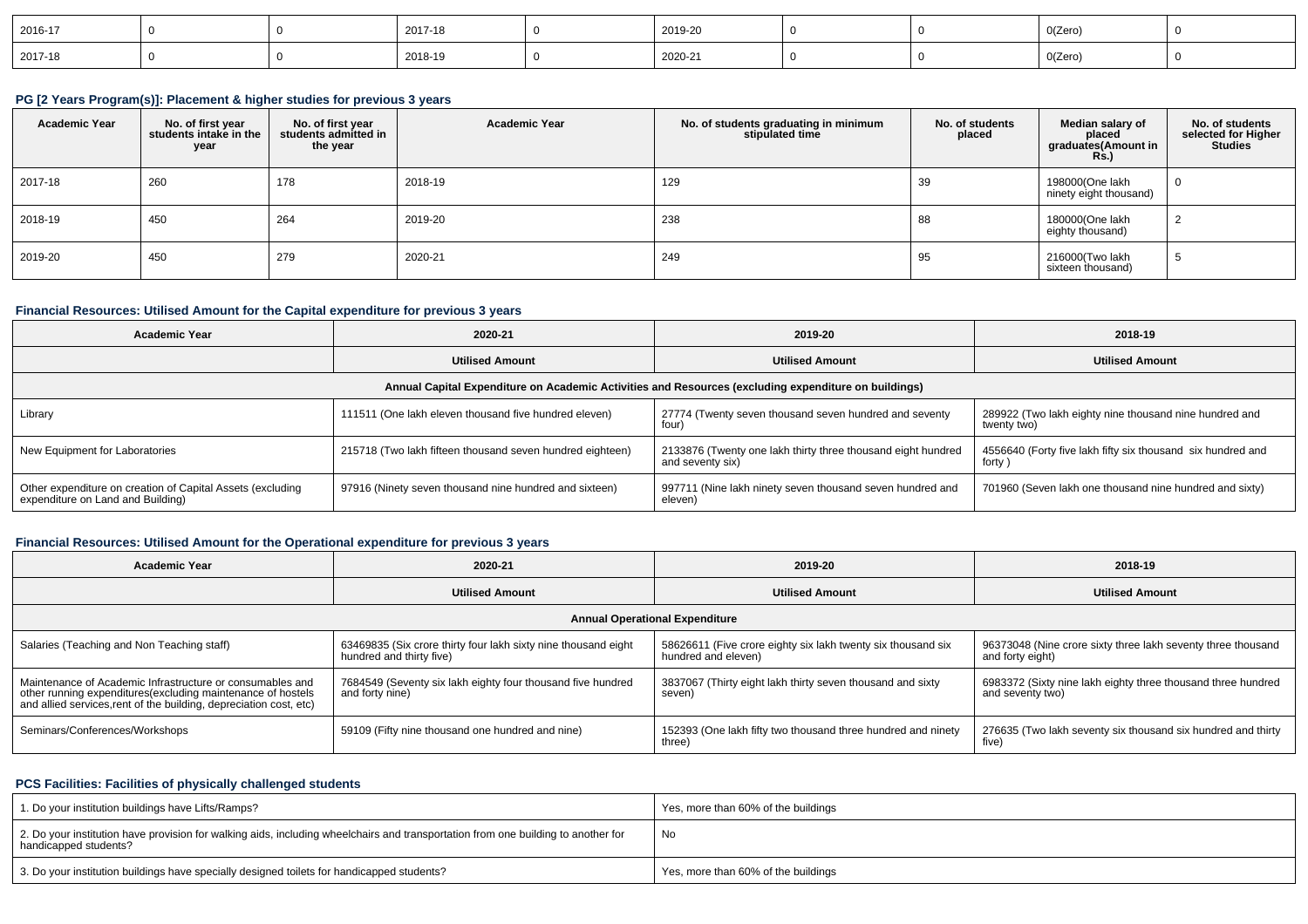| 2016-17 |  | 2017-18 | 2019-20 |  | 0(Zero) |  |
|---------|--|---------|---------|--|---------|--|
| 2017-18 |  | 2018-19 | 2020-21 |  | 0(Zero) |  |

### **PG [2 Years Program(s)]: Placement & higher studies for previous 3 years**

| <b>Academic Year</b> | No. of first year<br>students intake in the<br>year | No. of first year<br>students admitted in<br>the year | <b>Academic Year</b> | No. of students graduating in minimum<br>stipulated time | No. of students<br>placed | Median salary of<br>placed<br>graduates(Amount in<br><b>Rs.</b> ) | No. of students<br>selected for Higher<br><b>Studies</b> |
|----------------------|-----------------------------------------------------|-------------------------------------------------------|----------------------|----------------------------------------------------------|---------------------------|-------------------------------------------------------------------|----------------------------------------------------------|
| 2017-18              | 260                                                 | 178                                                   | 2018-19              | 129                                                      | 39                        | 198000(One lakh<br>ninety eight thousand)                         | $\overline{0}$                                           |
| 2018-19              | 450                                                 | 264                                                   | 2019-20              | 238                                                      | 88                        | 180000(One lakh<br>eighty thousand)                               | 2                                                        |
| 2019-20              | 450                                                 | 279                                                   | 2020-21              | 249                                                      | 95                        | 216000(Two lakh<br>sixteen thousand)                              | -5                                                       |

### **Financial Resources: Utilised Amount for the Capital expenditure for previous 3 years**

| <b>Academic Year</b>                                                                            | 2020-21                                                   |                                                                                                      | 2018-19                                                               |
|-------------------------------------------------------------------------------------------------|-----------------------------------------------------------|------------------------------------------------------------------------------------------------------|-----------------------------------------------------------------------|
|                                                                                                 | <b>Utilised Amount</b>                                    | <b>Utilised Amount</b>                                                                               | <b>Utilised Amount</b>                                                |
|                                                                                                 |                                                           | Annual Capital Expenditure on Academic Activities and Resources (excluding expenditure on buildings) |                                                                       |
| Library                                                                                         | 111511 (One lakh eleven thousand five hundred eleven)     | 27774 (Twenty seven thousand seven hundred and seventy<br>four)                                      | 289922 (Two lakh eighty nine thousand nine hundred and<br>twenty two) |
| New Equipment for Laboratories                                                                  | 215718 (Two lakh fifteen thousand seven hundred eighteen) | 2133876 (Twenty one lakh thirty three thousand eight hundred<br>and seventy six)                     | 4556640 (Forty five lakh fifty six thousand six hundred and<br>forty  |
| Other expenditure on creation of Capital Assets (excluding<br>expenditure on Land and Building) | 97916 (Ninety seven thousand nine hundred and sixteen)    | 997711 (Nine lakh ninety seven thousand seven hundred and<br>eleven)                                 | 701960 (Seven lakh one thousand nine hundred and sixty)               |

## **Financial Resources: Utilised Amount for the Operational expenditure for previous 3 years**

| <b>Academic Year</b>                                                                                                                                                                           | 2020-21                                                                                    |                                                                                     | 2018-19                                                                          |  |
|------------------------------------------------------------------------------------------------------------------------------------------------------------------------------------------------|--------------------------------------------------------------------------------------------|-------------------------------------------------------------------------------------|----------------------------------------------------------------------------------|--|
|                                                                                                                                                                                                | <b>Utilised Amount</b>                                                                     | <b>Utilised Amount</b>                                                              | <b>Utilised Amount</b>                                                           |  |
|                                                                                                                                                                                                |                                                                                            | <b>Annual Operational Expenditure</b>                                               |                                                                                  |  |
| Salaries (Teaching and Non Teaching staff)                                                                                                                                                     | 63469835 (Six crore thirty four lakh sixty nine thousand eight<br>hundred and thirty five) | 58626611 (Five crore eighty six lakh twenty six thousand six<br>hundred and eleven) | 96373048 (Nine crore sixty three lakh seventy three thousand<br>and forty eight) |  |
| Maintenance of Academic Infrastructure or consumables and<br>other running expenditures(excluding maintenance of hostels<br>and allied services, rent of the building, depreciation cost, etc) | 7684549 (Seventy six lakh eighty four thousand five hundred<br>and forty nine)             | 3837067 (Thirty eight lakh thirty seven thousand and sixty<br>seven)                | 6983372 (Sixty nine lakh eighty three thousand three hundred<br>and seventy two) |  |
| Seminars/Conferences/Workshops                                                                                                                                                                 | 59109 (Fifty nine thousand one hundred and nine)                                           | 152393 (One lakh fifty two thousand three hundred and ninety<br>three)              | 276635 (Two lakh seventy six thousand six hundred and thirty<br>five)            |  |

### **PCS Facilities: Facilities of physically challenged students**

| 1. Do your institution buildings have Lifts/Ramps?                                                                                                         | Yes, more than 60% of the buildings |
|------------------------------------------------------------------------------------------------------------------------------------------------------------|-------------------------------------|
| 2. Do your institution have provision for walking aids, including wheelchairs and transportation from one building to another for<br>handicapped students? | No                                  |
| 3. Do your institution buildings have specially designed toilets for handicapped students?                                                                 | Yes, more than 60% of the buildings |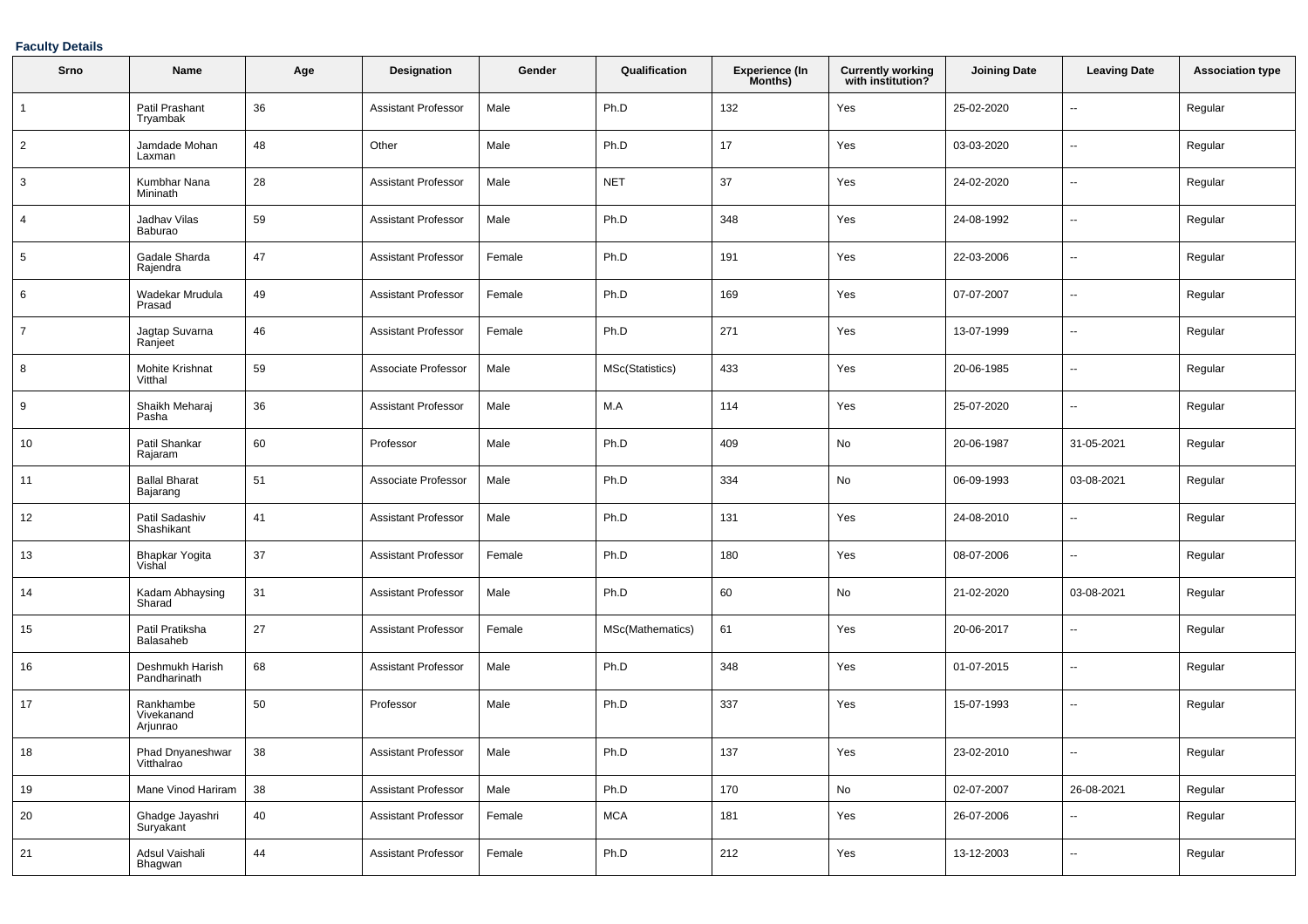### **Faculty Details**

| Srno           | Name                                | Age        | <b>Designation</b>         | Gender | Qualification    | <b>Experience (In</b><br>Months) | <b>Currently working</b><br>with institution? | <b>Joining Date</b> | <b>Leaving Date</b>      | <b>Association type</b> |
|----------------|-------------------------------------|------------|----------------------------|--------|------------------|----------------------------------|-----------------------------------------------|---------------------|--------------------------|-------------------------|
|                | Patil Prashant<br>Tryambak          | 36         | <b>Assistant Professor</b> | Male   | Ph.D             | 132                              | Yes                                           | 25-02-2020          | $\overline{\phantom{a}}$ | Regular                 |
| $\overline{2}$ | Jamdade Mohan<br>Laxman             | 48         | Other                      | Male   | Ph.D             | 17                               | Yes                                           | 03-03-2020          | $\overline{\phantom{a}}$ | Regular                 |
| 3              | Kumbhar Nana<br>Mininath            | 28         | <b>Assistant Professor</b> | Male   | <b>NET</b>       | 37                               | Yes                                           | 24-02-2020          | $\overline{\phantom{a}}$ | Regular                 |
| 4              | Jadhav Vilas<br>Baburao             | 59         | <b>Assistant Professor</b> | Male   | Ph.D             | 348                              | Yes                                           | 24-08-1992          | ⊷.                       | Regular                 |
| 5              | Gadale Sharda<br>Rajendra           | 47         | <b>Assistant Professor</b> | Female | Ph.D             | 191                              | Yes                                           | 22-03-2006          | --                       | Regular                 |
| 6              | Wadekar Mrudula<br>Prasad           | 49         | <b>Assistant Professor</b> | Female | Ph.D             | 169                              | Yes                                           | 07-07-2007          | $\overline{\phantom{a}}$ | Regular                 |
| $\overline{7}$ | Jagtap Suvarna<br>Ranjeet           | 46         | <b>Assistant Professor</b> | Female | Ph.D             | 271                              | Yes                                           | 13-07-1999          | $\overline{\phantom{a}}$ | Regular                 |
| 8              | Mohite Krishnat<br>Vitthal          | 59         | Associate Professor        | Male   | MSc(Statistics)  | 433                              | Yes                                           | 20-06-1985          | $\overline{\phantom{a}}$ | Regular                 |
| 9              | Shaikh Meharaj<br>Pasha             | 36         | <b>Assistant Professor</b> | Male   | M.A              | 114                              | Yes                                           | 25-07-2020          | $\overline{\phantom{a}}$ | Regular                 |
| 10             | Patil Shankar<br>Rajaram            | 60         | Professor                  | Male   | Ph.D             | 409                              | No                                            | 20-06-1987          | 31-05-2021               | Regular                 |
| 11             | <b>Ballal Bharat</b><br>Bajarang    | 51         | Associate Professor        | Male   | Ph.D             | 334                              | No                                            | 06-09-1993          | 03-08-2021               | Regular                 |
| 12             | Patil Sadashiv<br>Shashikant        | 41         | <b>Assistant Professor</b> | Male   | Ph.D             | 131                              | Yes                                           | 24-08-2010          | $\overline{\phantom{a}}$ | Regular                 |
| 13             | Bhapkar Yogita<br>Vishal            | 37         | <b>Assistant Professor</b> | Female | Ph.D             | 180                              | Yes                                           | 08-07-2006          | $\overline{\phantom{a}}$ | Regular                 |
| 14             | Kadam Abhaysing<br>Sharad           | 31         | <b>Assistant Professor</b> | Male   | Ph.D             | 60                               | No                                            | 21-02-2020          | 03-08-2021               | Regular                 |
| 15             | Patil Pratiksha<br>Balasaheb        | 27         | <b>Assistant Professor</b> | Female | MSc(Mathematics) | 61                               | Yes                                           | 20-06-2017          | ۰.                       | Regular                 |
| 16             | Deshmukh Harish<br>Pandharinath     | 68         | <b>Assistant Professor</b> | Male   | Ph.D             | 348                              | Yes                                           | 01-07-2015          | $\overline{\phantom{a}}$ | Regular                 |
| 17             | Rankhambe<br>Vivekanand<br>Arjunrao | 50         | Professor                  | Male   | Ph.D             | 337                              | Yes                                           | 15-07-1993          | $\overline{\phantom{a}}$ | Regular                 |
| 18             | Phad Dnyaneshwar<br>Vitthalrao      | 38         | Assistant Professor        | Male   | Ph.D             | 137                              | Yes                                           | 23-02-2010          |                          | Regular                 |
| 19             | Mane Vinod Hariram                  | 38         | Assistant Professor        | Male   | Ph.D             | 170                              | No                                            | 02-07-2007          | 26-08-2021               | Regular                 |
| $20\,$         | Ghadge Jayashri<br>Suryakant        | 40         | <b>Assistant Professor</b> | Female | <b>MCA</b>       | 181                              | Yes                                           | 26-07-2006          | --                       | Regular                 |
| 21             | Adsul Vaishali<br>Bhagwan           | ${\bf 44}$ | <b>Assistant Professor</b> | Female | Ph.D             | 212                              | Yes                                           | 13-12-2003          | н,                       | Regular                 |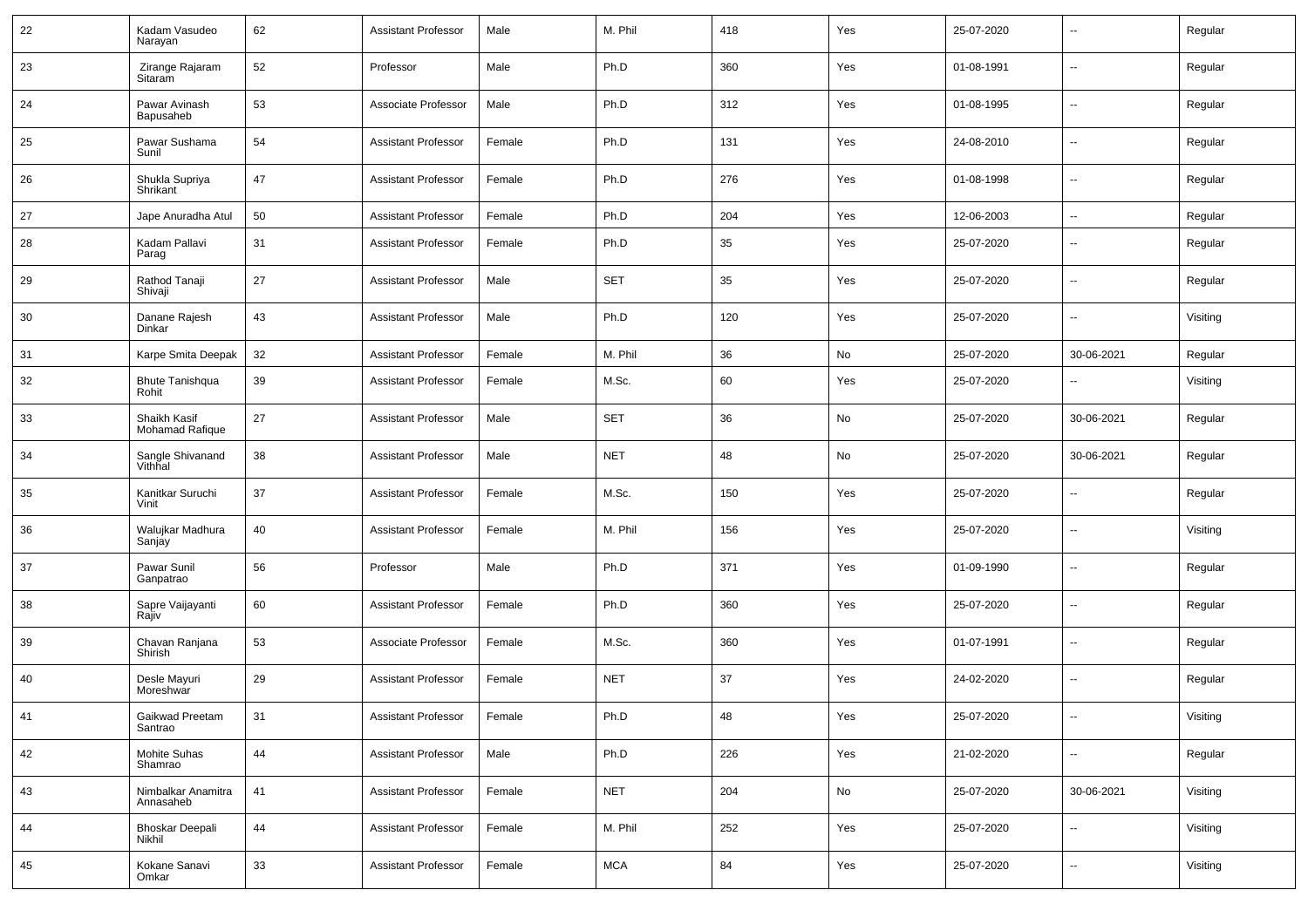| 22 | Kadam Vasudeo<br>Narayan         | 62 | <b>Assistant Professor</b> | Male   | M. Phil    | 418 | Yes | 25-07-2020 | $\sim$                   | Regular  |
|----|----------------------------------|----|----------------------------|--------|------------|-----|-----|------------|--------------------------|----------|
| 23 | Zirange Rajaram<br>Sitaram       | 52 | Professor                  | Male   | Ph.D       | 360 | Yes | 01-08-1991 | $\overline{\phantom{a}}$ | Regular  |
| 24 | Pawar Avinash<br>Bapusaheb       | 53 | Associate Professor        | Male   | Ph.D       | 312 | Yes | 01-08-1995 | $\sim$                   | Regular  |
| 25 | Pawar Sushama<br>Sunil           | 54 | <b>Assistant Professor</b> | Female | Ph.D       | 131 | Yes | 24-08-2010 | $\overline{\phantom{a}}$ | Regular  |
| 26 | Shukla Supriya<br>Shrikant       | 47 | <b>Assistant Professor</b> | Female | Ph.D       | 276 | Yes | 01-08-1998 | $\sim$                   | Regular  |
| 27 | Jape Anuradha Atul               | 50 | <b>Assistant Professor</b> | Female | Ph.D       | 204 | Yes | 12-06-2003 | ⊷.                       | Regular  |
| 28 | Kadam Pallavi<br>Parag           | 31 | <b>Assistant Professor</b> | Female | Ph.D       | 35  | Yes | 25-07-2020 | $\sim$                   | Regular  |
| 29 | Rathod Tanaji<br>Shivaji         | 27 | <b>Assistant Professor</b> | Male   | <b>SET</b> | 35  | Yes | 25-07-2020 | $\mathbf{u}$             | Regular  |
| 30 | Danane Rajesh<br>Dinkar          | 43 | <b>Assistant Professor</b> | Male   | Ph.D       | 120 | Yes | 25-07-2020 | $\mathbf{u}$             | Visiting |
| 31 | Karpe Smita Deepak               | 32 | <b>Assistant Professor</b> | Female | M. Phil    | 36  | No  | 25-07-2020 | 30-06-2021               | Regular  |
| 32 | <b>Bhute Tanishqua</b><br>Rohit  | 39 | <b>Assistant Professor</b> | Female | M.Sc.      | 60  | Yes | 25-07-2020 | --                       | Visiting |
| 33 | Shaikh Kasif<br>Mohamad Rafique  | 27 | <b>Assistant Professor</b> | Male   | <b>SET</b> | 36  | No  | 25-07-2020 | 30-06-2021               | Regular  |
| 34 | Sangle Shivanand<br>Vithhal      | 38 | <b>Assistant Professor</b> | Male   | <b>NET</b> | 48  | No  | 25-07-2020 | 30-06-2021               | Regular  |
| 35 | Kanitkar Suruchi<br>Vinit        | 37 | <b>Assistant Professor</b> | Female | M.Sc.      | 150 | Yes | 25-07-2020 | $\overline{\phantom{a}}$ | Regular  |
| 36 | Walujkar Madhura<br>Sanjay       | 40 | <b>Assistant Professor</b> | Female | M. Phil    | 156 | Yes | 25-07-2020 | $\overline{\phantom{a}}$ | Visiting |
| 37 | Pawar Sunil<br>Ganpatrao         | 56 | Professor                  | Male   | Ph.D       | 371 | Yes | 01-09-1990 | $\overline{\phantom{a}}$ | Regular  |
| 38 | Sapre Vaijayanti<br>Rajiv        | 60 | <b>Assistant Professor</b> | Female | Ph.D       | 360 | Yes | 25-07-2020 | $\overline{\phantom{a}}$ | Regular  |
| 39 | Chavan Ranjana<br>Shirish        | 53 | Associate Professor        | Female | M.Sc.      | 360 | Yes | 01-07-1991 | $\overline{\phantom{a}}$ | Regular  |
| 40 | Desle Mayuri<br>Moreshwar        | 29 | <b>Assistant Professor</b> | Female | <b>NET</b> | 37  | Yes | 24-02-2020 | $\overline{\phantom{a}}$ | Regular  |
| 41 | Gaikwad Preetam<br>Santrao       | 31 | Assistant Professor        | Female | Ph.D       | 48  | Yes | 25-07-2020 | $\overline{\phantom{a}}$ | Visiting |
| 42 | Mohite Suhas<br>Shamrao          | 44 | <b>Assistant Professor</b> | Male   | Ph.D       | 226 | Yes | 21-02-2020 | $\sim$                   | Regular  |
| 43 | Nimbalkar Anamitra<br>Annasaheb  | 41 | <b>Assistant Professor</b> | Female | <b>NET</b> | 204 | No  | 25-07-2020 | 30-06-2021               | Visiting |
| 44 | <b>Bhoskar Deepali</b><br>Nikhil | 44 | <b>Assistant Professor</b> | Female | M. Phil    | 252 | Yes | 25-07-2020 | $\sim$                   | Visiting |
| 45 | Kokane Sanavi<br>Omkar           | 33 | <b>Assistant Professor</b> | Female | <b>MCA</b> | 84  | Yes | 25-07-2020 | $\overline{\phantom{a}}$ | Visiting |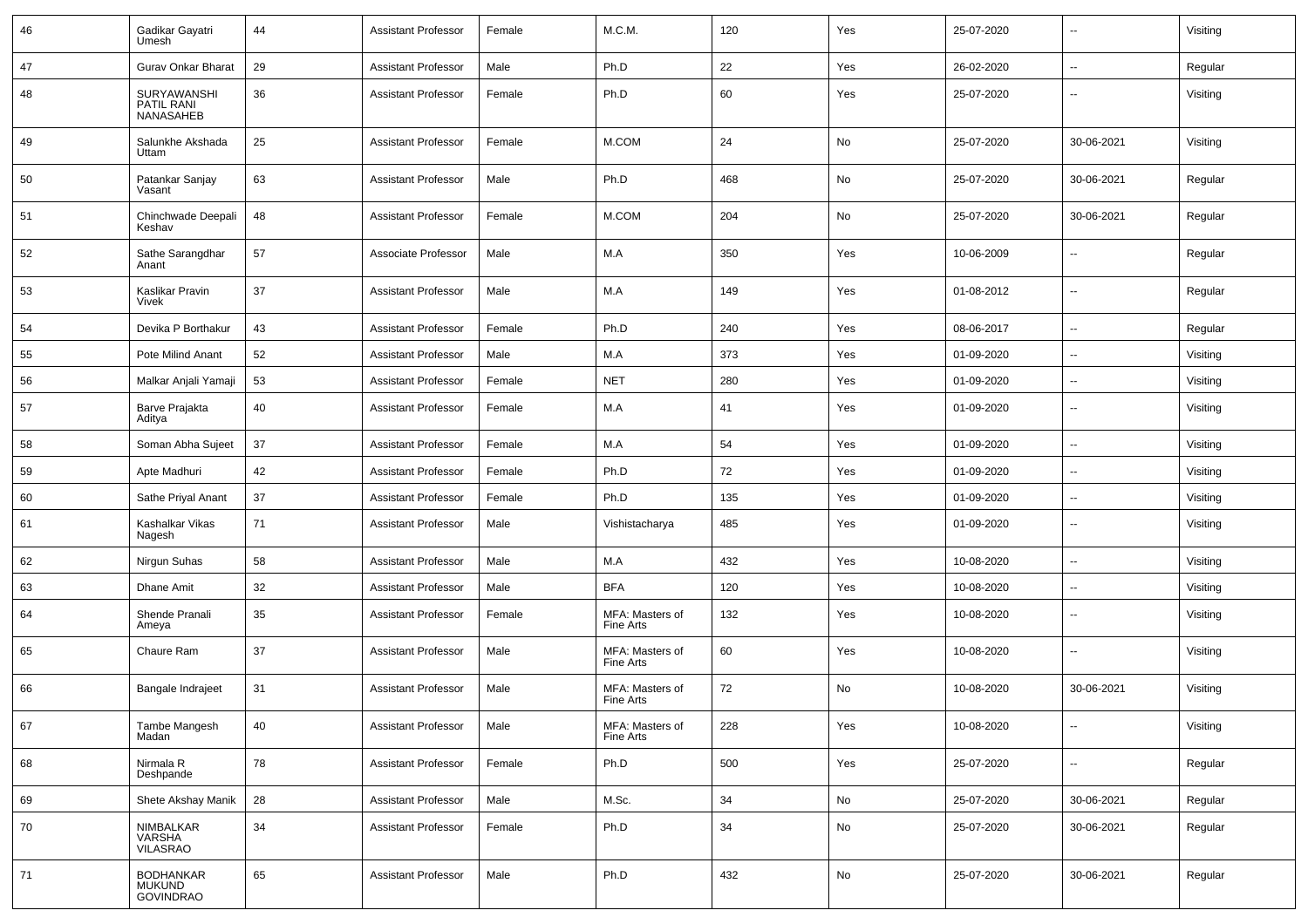| 46 | Gadikar Gayatri<br>Umesh                              | 44 | Assistant Professor        | Female | M.C.M.                       | 120 | Yes | 25-07-2020 | --                       | Visiting |
|----|-------------------------------------------------------|----|----------------------------|--------|------------------------------|-----|-----|------------|--------------------------|----------|
| 47 | Gurav Onkar Bharat                                    | 29 | <b>Assistant Professor</b> | Male   | Ph.D                         | 22  | Yes | 26-02-2020 | $\sim$                   | Regular  |
| 48 | SURYAWANSHI<br>PATIL RANI<br>NANASAHEB                | 36 | <b>Assistant Professor</b> | Female | Ph.D                         | 60  | Yes | 25-07-2020 | --                       | Visiting |
| 49 | Salunkhe Akshada<br>Uttam                             | 25 | <b>Assistant Professor</b> | Female | M.COM                        | 24  | No  | 25-07-2020 | 30-06-2021               | Visiting |
| 50 | Patankar Sanjay<br>Vasant                             | 63 | <b>Assistant Professor</b> | Male   | Ph.D                         | 468 | No  | 25-07-2020 | 30-06-2021               | Regular  |
| 51 | Chinchwade Deepali<br>Keshav                          | 48 | <b>Assistant Professor</b> | Female | M.COM                        | 204 | No  | 25-07-2020 | 30-06-2021               | Regular  |
| 52 | Sathe Sarangdhar<br>Anant                             | 57 | Associate Professor        | Male   | M.A                          | 350 | Yes | 10-06-2009 | $\overline{\phantom{a}}$ | Regular  |
| 53 | Kaslikar Pravin<br>Vivek                              | 37 | <b>Assistant Professor</b> | Male   | M.A                          | 149 | Yes | 01-08-2012 | $\sim$                   | Regular  |
| 54 | Devika P Borthakur                                    | 43 | <b>Assistant Professor</b> | Female | Ph.D                         | 240 | Yes | 08-06-2017 | $\overline{\phantom{a}}$ | Regular  |
| 55 | Pote Milind Anant                                     | 52 | <b>Assistant Professor</b> | Male   | M.A                          | 373 | Yes | 01-09-2020 | --                       | Visiting |
| 56 | Malkar Anjali Yamaji                                  | 53 | <b>Assistant Professor</b> | Female | <b>NET</b>                   | 280 | Yes | 01-09-2020 | $\overline{a}$           | Visiting |
| 57 | Barve Prajakta<br>Aditya                              | 40 | <b>Assistant Professor</b> | Female | M.A                          | 41  | Yes | 01-09-2020 | --                       | Visiting |
| 58 | Soman Abha Sujeet                                     | 37 | <b>Assistant Professor</b> | Female | M.A                          | 54  | Yes | 01-09-2020 | $\overline{\phantom{a}}$ | Visiting |
| 59 | Apte Madhuri                                          | 42 | <b>Assistant Professor</b> | Female | Ph.D                         | 72  | Yes | 01-09-2020 | --                       | Visiting |
| 60 | Sathe Priyal Anant                                    | 37 | <b>Assistant Professor</b> | Female | Ph.D                         | 135 | Yes | 01-09-2020 | $\sim$                   | Visiting |
| 61 | Kashalkar Vikas<br>Nagesh                             | 71 | <b>Assistant Professor</b> | Male   | Vishistacharya               | 485 | Yes | 01-09-2020 | $\sim$                   | Visiting |
| 62 | Nirgun Suhas                                          | 58 | <b>Assistant Professor</b> | Male   | M.A                          | 432 | Yes | 10-08-2020 | $\overline{\phantom{a}}$ | Visiting |
| 63 | Dhane Amit                                            | 32 | <b>Assistant Professor</b> | Male   | <b>BFA</b>                   | 120 | Yes | 10-08-2020 | --                       | Visiting |
| 64 | Shende Pranali<br>Ameya                               | 35 | <b>Assistant Professor</b> | Female | MFA: Masters of<br>Fine Arts | 132 | Yes | 10-08-2020 | --                       | Visiting |
| 65 | Chaure Ram                                            | 37 | <b>Assistant Professor</b> | Male   | MFA: Masters of<br>Fine Arts | 60  | Yes | 10-08-2020 | Ξ.                       | Visiting |
| 66 | Bangale Indrajeet                                     | 31 | <b>Assistant Professor</b> | Male   | MFA: Masters of<br>Fine Arts | 72  | No  | 10-08-2020 | 30-06-2021               | Visiting |
| 67 | Tambe Mangesh<br>Madan                                | 40 | <b>Assistant Professor</b> | Male   | MFA: Masters of<br>Fine Arts | 228 | Yes | 10-08-2020 | Ξ.                       | Visiting |
| 68 | Nirmala R<br>Deshpande                                | 78 | <b>Assistant Professor</b> | Female | Ph.D                         | 500 | Yes | 25-07-2020 | Ξ.                       | Regular  |
| 69 | Shete Akshay Manik                                    | 28 | <b>Assistant Professor</b> | Male   | M.Sc.                        | 34  | No  | 25-07-2020 | 30-06-2021               | Regular  |
| 70 | NIMBALKAR<br>VARSHA<br>VILASRAO                       | 34 | <b>Assistant Professor</b> | Female | Ph.D                         | 34  | No  | 25-07-2020 | 30-06-2021               | Regular  |
| 71 | <b>BODHANKAR</b><br><b>MUKUND</b><br><b>GOVINDRAO</b> | 65 | <b>Assistant Professor</b> | Male   | Ph.D                         | 432 | No  | 25-07-2020 | 30-06-2021               | Regular  |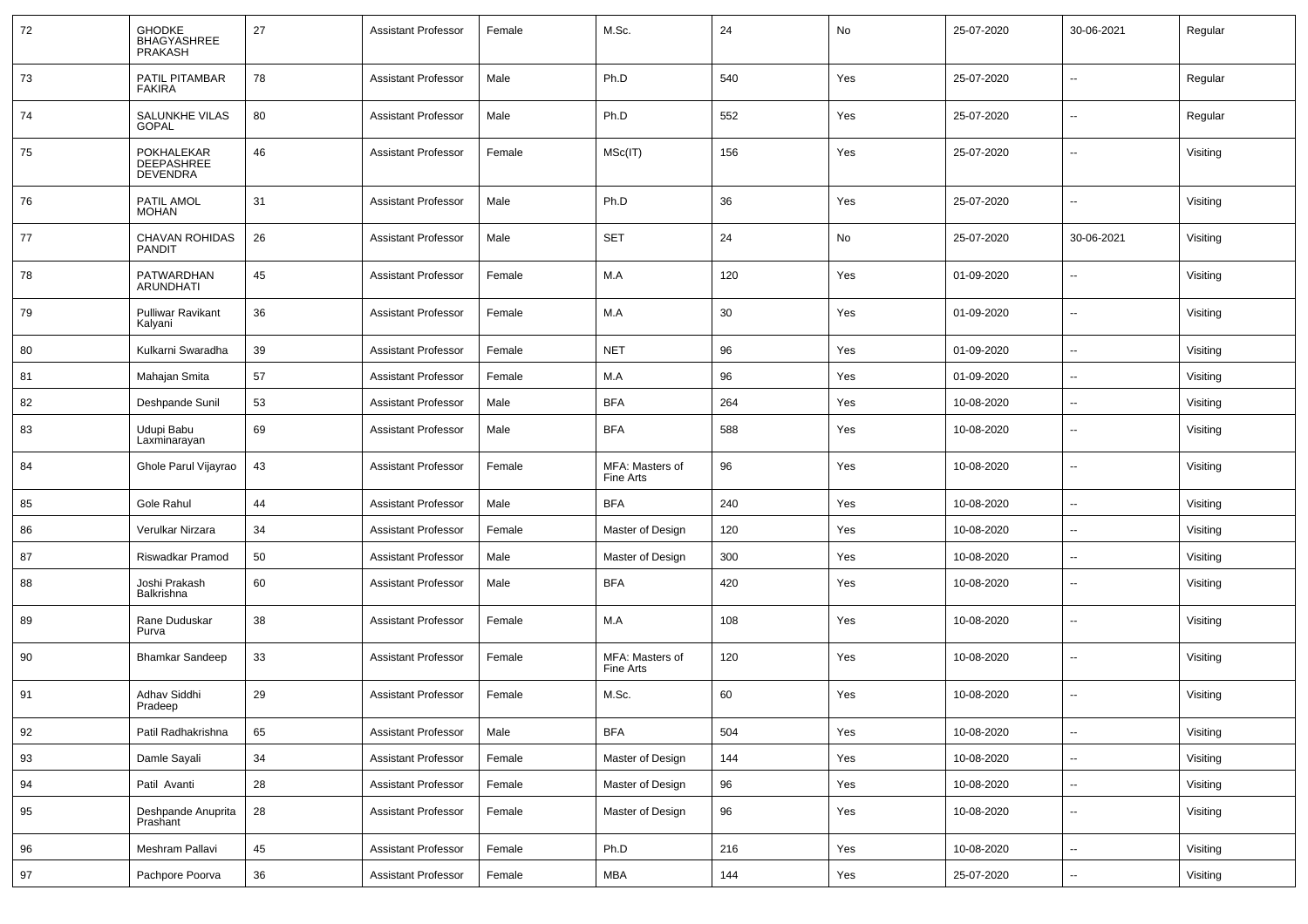| 72 | <b>GHODKE</b><br><b>BHAGYASHREE</b><br>PRAKASH | 27 | <b>Assistant Professor</b> | Female | M.Sc.                        | 24  | No  | 25-07-2020 | 30-06-2021               | Regular  |
|----|------------------------------------------------|----|----------------------------|--------|------------------------------|-----|-----|------------|--------------------------|----------|
| 73 | PATIL PITAMBAR<br><b>FAKIRA</b>                | 78 | <b>Assistant Professor</b> | Male   | Ph.D                         | 540 | Yes | 25-07-2020 | $\overline{\phantom{a}}$ | Regular  |
| 74 | SALUNKHE VILAS<br><b>GOPAL</b>                 | 80 | <b>Assistant Professor</b> | Male   | Ph.D                         | 552 | Yes | 25-07-2020 | --                       | Regular  |
| 75 | POKHALEKAR<br>DEEPASHREE<br><b>DEVENDRA</b>    | 46 | <b>Assistant Professor</b> | Female | MSc(IT)                      | 156 | Yes | 25-07-2020 | --                       | Visiting |
| 76 | PATIL AMOL<br><b>MOHAN</b>                     | 31 | <b>Assistant Professor</b> | Male   | Ph.D                         | 36  | Yes | 25-07-2020 | $\sim$                   | Visiting |
| 77 | CHAVAN ROHIDAS<br><b>PANDIT</b>                | 26 | <b>Assistant Professor</b> | Male   | <b>SET</b>                   | 24  | No  | 25-07-2020 | 30-06-2021               | Visiting |
| 78 | PATWARDHAN<br><b>ARUNDHATI</b>                 | 45 | <b>Assistant Professor</b> | Female | M.A                          | 120 | Yes | 01-09-2020 | $\overline{\phantom{a}}$ | Visiting |
| 79 | <b>Pulliwar Ravikant</b><br>Kalyani            | 36 | <b>Assistant Professor</b> | Female | M.A                          | 30  | Yes | 01-09-2020 | $\overline{\phantom{a}}$ | Visiting |
| 80 | Kulkarni Swaradha                              | 39 | <b>Assistant Professor</b> | Female | <b>NET</b>                   | 96  | Yes | 01-09-2020 | $\overline{\phantom{a}}$ | Visiting |
| 81 | Mahajan Smita                                  | 57 | <b>Assistant Professor</b> | Female | M.A                          | 96  | Yes | 01-09-2020 | --                       | Visiting |
| 82 | Deshpande Sunil                                | 53 | <b>Assistant Professor</b> | Male   | <b>BFA</b>                   | 264 | Yes | 10-08-2020 | н.                       | Visiting |
| 83 | Udupi Babu<br>Laxminarayan                     | 69 | <b>Assistant Professor</b> | Male   | <b>BFA</b>                   | 588 | Yes | 10-08-2020 | --                       | Visiting |
| 84 | Ghole Parul Vijayrao                           | 43 | <b>Assistant Professor</b> | Female | MFA: Masters of<br>Fine Arts | 96  | Yes | 10-08-2020 | --                       | Visiting |
| 85 | Gole Rahul                                     | 44 | <b>Assistant Professor</b> | Male   | <b>BFA</b>                   | 240 | Yes | 10-08-2020 | $\overline{\phantom{a}}$ | Visiting |
| 86 | Verulkar Nirzara                               | 34 | <b>Assistant Professor</b> | Female | Master of Design             | 120 | Yes | 10-08-2020 | --                       | Visiting |
| 87 | Riswadkar Pramod                               | 50 | <b>Assistant Professor</b> | Male   | Master of Design             | 300 | Yes | 10-08-2020 | н.                       | Visiting |
| 88 | Joshi Prakash<br>Balkrishna                    | 60 | <b>Assistant Professor</b> | Male   | <b>BFA</b>                   | 420 | Yes | 10-08-2020 | $\overline{\phantom{a}}$ | Visiting |
| 89 | Rane Duduskar<br>Purva                         | 38 | <b>Assistant Professor</b> | Female | M.A                          | 108 | Yes | 10-08-2020 | ⊷.                       | Visiting |
| 90 | <b>Bhamkar Sandeep</b>                         | 33 | <b>Assistant Professor</b> | Female | MFA: Masters of<br>Fine Arts | 120 | Yes | 10-08-2020 | $\overline{\phantom{a}}$ | Visiting |
| 91 | Adhav Siddhi<br>Pradeep                        | 29 | <b>Assistant Professor</b> | Female | M.Sc.                        | 60  | Yes | 10-08-2020 | ⊷.                       | Visiting |
| 92 | Patil Radhakrishna                             | 65 | <b>Assistant Professor</b> | Male   | <b>BFA</b>                   | 504 | Yes | 10-08-2020 | Ξ.                       | Visiting |
| 93 | Damle Sayali                                   | 34 | <b>Assistant Professor</b> | Female | Master of Design             | 144 | Yes | 10-08-2020 | $\overline{\phantom{a}}$ | Visiting |
| 94 | Patil Avanti                                   | 28 | <b>Assistant Professor</b> | Female | Master of Design             | 96  | Yes | 10-08-2020 | н,                       | Visiting |
| 95 | Deshpande Anuprita<br>Prashant                 | 28 | <b>Assistant Professor</b> | Female | Master of Design             | 96  | Yes | 10-08-2020 | $\overline{\phantom{a}}$ | Visiting |
| 96 | Meshram Pallavi                                | 45 | <b>Assistant Professor</b> | Female | Ph.D                         | 216 | Yes | 10-08-2020 | Ξ.                       | Visiting |
| 97 | Pachpore Poorva                                | 36 | <b>Assistant Professor</b> | Female | MBA                          | 144 | Yes | 25-07-2020 | $\overline{\phantom{a}}$ | Visiting |